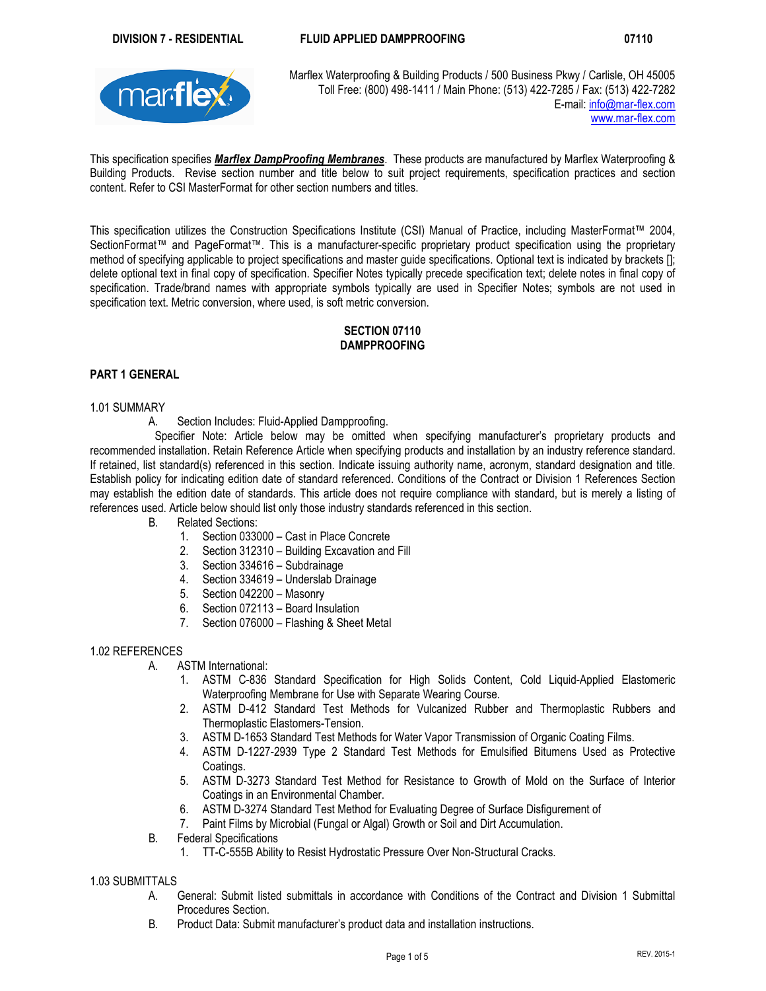

Marflex Waterproofing & Building Products / 500 Business Pkwy / Carlisle, OH 45005 Toll Free: (800) 498-1411 / Main Phone: (513) 422-7285 / Fax: (513) 422-7282<br>E-mail: info@mar-flex.com E-mail: info@mar-flex.com www.mar-flex.com

This specification specifies *Marflex DampProofing Membranes*. These products are manufactured by Marflex Waterproofing & Building Products. Revise section number and title below to suit project requirements, specification practices and section content. Refer to CSI MasterFormat for other section numbers and titles.

This specification utilizes the Construction Specifications Institute (CSI) Manual of Practice, including MasterFormat™ 2004, SectionFormat™ and PageFormat™. This is a manufacturer-specific proprietary product specification using the proprietary method of specifying applicable to project specifications and master guide specifications. Optional text is indicated by brackets []; delete optional text in final copy of specification. Specifier Notes typically precede specification text; delete notes in final copy of specification. Trade/brand names with appropriate symbols typically are used in Specifier Notes; symbols are not used in specification text. Metric conversion, where used, is soft metric conversion.

# **SECTION 07110 DAMPPROOFING**

# **PART 1 GENERAL**

### 1.01 SUMMARY

A. Section Includes: Fluid-Applied Dampproofing.

Specifier Note: Article below may be omitted when specifying manufacturer's proprietary products and recommended installation. Retain Reference Article when specifying products and installation by an industry reference standard. If retained, list standard(s) referenced in this section. Indicate issuing authority name, acronym, standard designation and title. Establish policy for indicating edition date of standard referenced. Conditions of the Contract or Division 1 References Section may establish the edition date of standards. This article does not require compliance with standard, but is merely a listing of references used. Article below should list only those industry standards referenced in this section.

- B. Related Sections:
	- 1. Section 033000 Cast in Place Concrete
	- 2. Section 312310 Building Excavation and Fill
	- 3. Section 334616 Subdrainage
	- 4. Section 334619 Underslab Drainage
	- 5. Section 042200 Masonry
	- 6. Section 072113 Board Insulation
	- 7. Section 076000 Flashing & Sheet Metal

## 1.02 REFERENCES

- A. ASTM International:
	- 1. ASTM C-836 Standard Specification for High Solids Content, Cold Liquid-Applied Elastomeric Waterproofing Membrane for Use with Separate Wearing Course.
	- 2. ASTM D-412 Standard Test Methods for Vulcanized Rubber and Thermoplastic Rubbers and Thermoplastic Elastomers-Tension.
	- 3. ASTM D-1653 Standard Test Methods for Water Vapor Transmission of Organic Coating Films.
	- 4. ASTM D-1227-2939 Type 2 Standard Test Methods for Emulsified Bitumens Used as Protective Coatings.
	- 5. ASTM D-3273 Standard Test Method for Resistance to Growth of Mold on the Surface of Interior Coatings in an Environmental Chamber.
	- 6. ASTM D-3274 Standard Test Method for Evaluating Degree of Surface Disfigurement of
	- 7. Paint Films by Microbial (Fungal or Algal) Growth or Soil and Dirt Accumulation.
- B. Federal Specifications
	- 1. TT-C-555B Ability to Resist Hydrostatic Pressure Over Non-Structural Cracks.

## 1.03 SUBMITTALS

- A. General: Submit listed submittals in accordance with Conditions of the Contract and Division 1 Submittal Procedures Section.
- B. Product Data: Submit manufacturer's product data and installation instructions.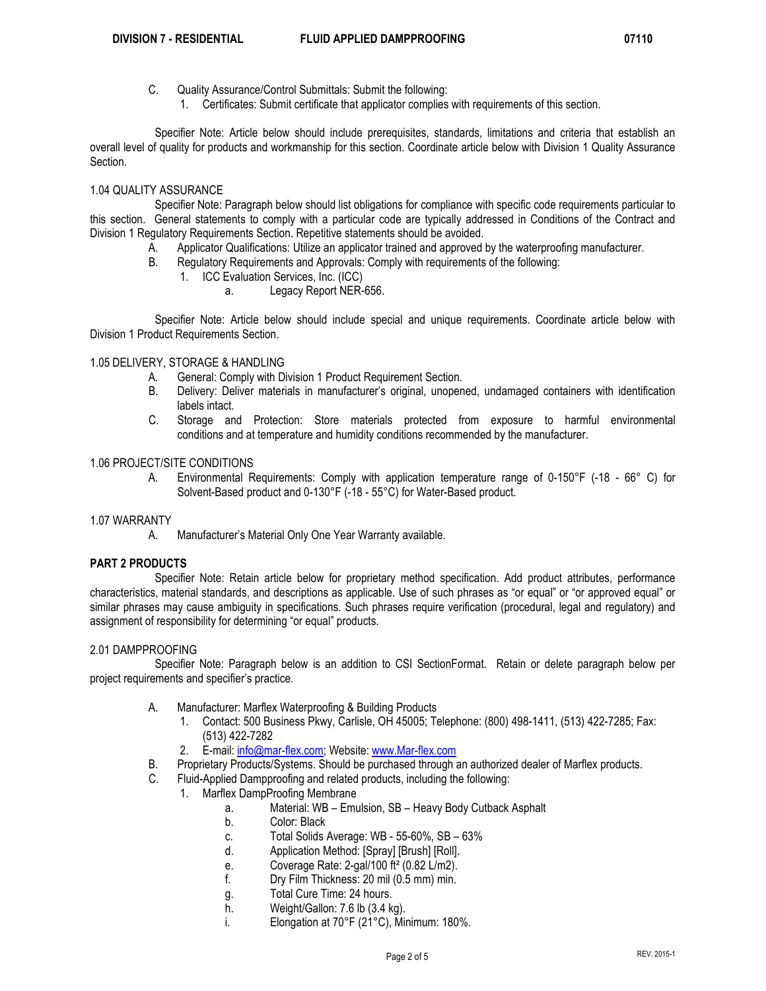- C. Quality Assurance/Control Submittals: Submit the following:
	- 1. Certificates: Submit certificate that applicator complies with requirements of this section.

Specifier Note: Article below should include prerequisites, standards, limitations and criteria that establish an overall level of quality for products and workmanship for this section. Coordinate article below with Division 1 Quality Assurance Section.

### 1.04 QUALITY ASSURANCE

Specifier Note: Paragraph below should list obligations for compliance with specific code requirements particular to this section. General statements to comply with a particular code are typically addressed in Conditions of the Contract and Division 1 Regulatory Requirements Section. Repetitive statements should be avoided.

- A. Applicator Qualifications: Utilize an applicator trained and approved by the waterproofing manufacturer.
- B. Regulatory Requirements and Approvals: Comply with requirements of the following:
	- 1. ICC Evaluation Services, Inc. (ICC)
		- a. Legacy Report NER-656.

Specifier Note: Article below should include special and unique requirements. Coordinate article below with Division 1 Product Requirements Section.

### 1.05 DELIVERY, STORAGE & HANDLING

- A. General: Comply with Division 1 Product Requirement Section.
- B. Delivery: Deliver materials in manufacturer's original, unopened, undamaged containers with identification labels intact.
- C. Storage and Protection: Store materials protected from exposure to harmful environmental conditions and at temperature and humidity conditions recommended by the manufacturer.

## 1.06 PROJECT/SITE CONDITIONS

A. Environmental Requirements: Comply with application temperature range of 0-150°F (-18 - 66° C) for Solvent-Based product and 0-130°F (-18 - 55°C) for Water-Based product.

#### 1.07 WARRANTY

A. Manufacturer's Material Only One Year Warranty available.

#### **PART 2 PRODUCTS**

Specifier Note: Retain article below for proprietary method specification. Add product attributes, performance characteristics, material standards, and descriptions as applicable. Use of such phrases as "or equal" or "or approved equal" or similar phrases may cause ambiguity in specifications. Such phrases require verification (procedural, legal and regulatory) and assignment of responsibility for determining "or equal" products.

#### 2.01 DAMPPROOFING

Specifier Note: Paragraph below is an addition to CSI SectionFormat. Retain or delete paragraph below per project requirements and specifier's practice.

- A. Manufacturer: Marflex Waterproofing & Building Products
	- 1. Contact: 500 Business Pkwy, Carlisle, OH 45005; Telephone: (800) 498-1411, (513) 422-7285; Fax: (513) 422-7282
	- 2. E-mail: info@mar-flex.com; Website: www.Mar-flex.com
- B. Proprietary Products/Systems. Should be purchased through an authorized dealer of Marflex products.
- C. Fluid-Applied Dampproofing and related products, including the following:
	- 1. Marflex DampProofing Membrane
		- a. Material: WB Emulsion, SB Heavy Body Cutback Asphalt
		- b. Color: Black
		- c. Total Solids Average: WB 55-60%, SB 63%
		- d. Application Method: [Spray] [Brush] [Roll].
		- e. Coverage Rate: 2-gal/100 ft² (0.82 L/m2).
		- f. Dry Film Thickness: 20 mil (0.5 mm) min.
		- g. Total Cure Time: 24 hours.
		- h. Weight/Gallon: 7.6 lb (3.4 kg).
		- i. Elongation at 70°F (21°C), Minimum: 180%.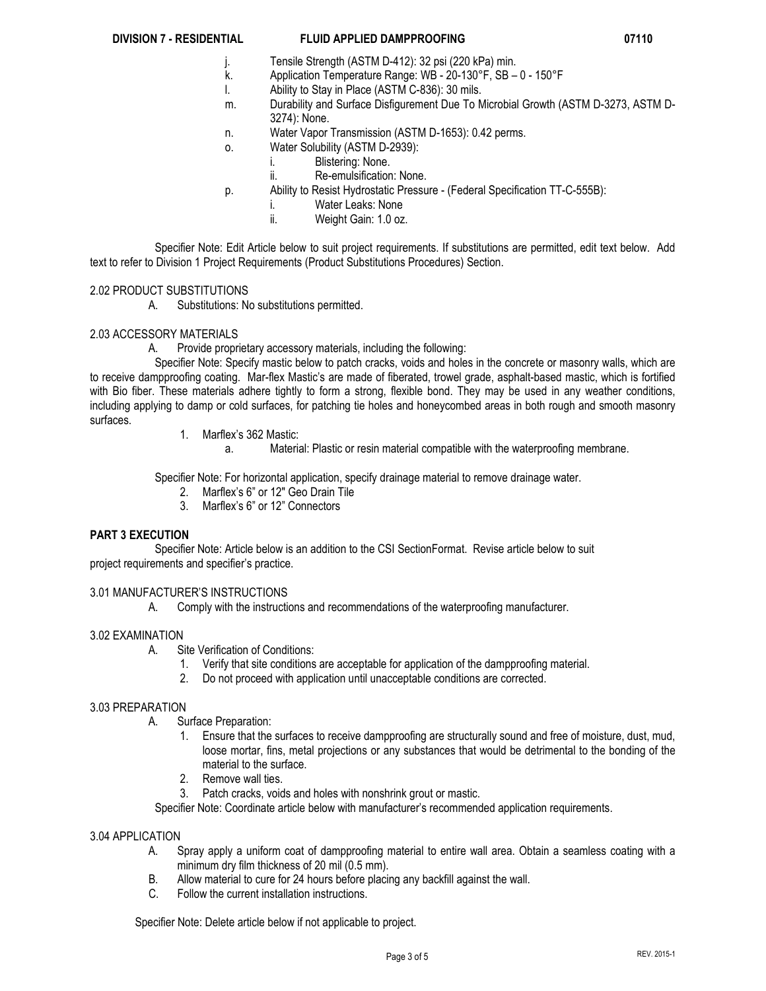## **DIVISION 7 - RESIDENTIAL FLUID APPLIED DAMPPROOFING 07110**

- j. Tensile Strength (ASTM D-412): 32 psi (220 kPa) min.
- k. Application Temperature Range: WB 20-130°F, SB 0 150°F
- Ability to Stay in Place (ASTM C-836): 30 mils.
- m. Durability and Surface Disfigurement Due To Microbial Growth (ASTM D-3273, ASTM D-3274): None.
- n. Water Vapor Transmission (ASTM D-1653): 0.42 perms.
- o. Water Solubility (ASTM D-2939):
	- i. Blistering: None.
	- ii. Re-emulsification: None.
- p. Ability to Resist Hydrostatic Pressure (Federal Specification TT-C-555B):
	- i. Water Leaks: None
	- ii. Weight Gain: 1.0 oz.

Specifier Note: Edit Article below to suit project requirements. If substitutions are permitted, edit text below. Add text to refer to Division 1 Project Requirements (Product Substitutions Procedures) Section.

## 2.02 PRODUCT SUBSTITUTIONS

A. Substitutions: No substitutions permitted.

# 2.03 ACCESSORY MATERIALS

A. Provide proprietary accessory materials, including the following:

Specifier Note: Specify mastic below to patch cracks, voids and holes in the concrete or masonry walls, which are to receive dampproofing coating. Mar-flex Mastic's are made of fiberated, trowel grade, asphalt-based mastic, which is fortified with Bio fiber. These materials adhere tightly to form a strong, flexible bond. They may be used in any weather conditions, including applying to damp or cold surfaces, for patching tie holes and honeycombed areas in both rough and smooth masonry surfaces.

- 1. Marflex's 362 Mastic:
	- a. Material: Plastic or resin material compatible with the waterproofing membrane.

Specifier Note: For horizontal application, specify drainage material to remove drainage water.

- 2. Marflex's 6" or 12″ Geo Drain Tile
- 3. Marflex's 6" or 12" Connectors

# **PART 3 EXECUTION**

Specifier Note: Article below is an addition to the CSI SectionFormat. Revise article below to suit project requirements and specifier's practice.

# 3.01 MANUFACTURER'S INSTRUCTIONS

A. Comply with the instructions and recommendations of the waterproofing manufacturer.

# 3.02 EXAMINATION

- A. Site Verification of Conditions:
	- 1. Verify that site conditions are acceptable for application of the dampproofing material.
	- 2. Do not proceed with application until unacceptable conditions are corrected.

## 3.03 PREPARATION

- A. Surface Preparation:
	- 1. Ensure that the surfaces to receive dampproofing are structurally sound and free of moisture, dust, mud, loose mortar, fins, metal projections or any substances that would be detrimental to the bonding of the material to the surface.
	- 2. Remove wall ties.
	- Patch cracks, voids and holes with nonshrink grout or mastic.

Specifier Note: Coordinate article below with manufacturer's recommended application requirements.

## 3.04 APPLICATION

- A. Spray apply a uniform coat of dampproofing material to entire wall area. Obtain a seamless coating with a minimum dry film thickness of 20 mil (0.5 mm).
- B. Allow material to cure for 24 hours before placing any backfill against the wall.
- C. Follow the current installation instructions.

Specifier Note: Delete article below if not applicable to project.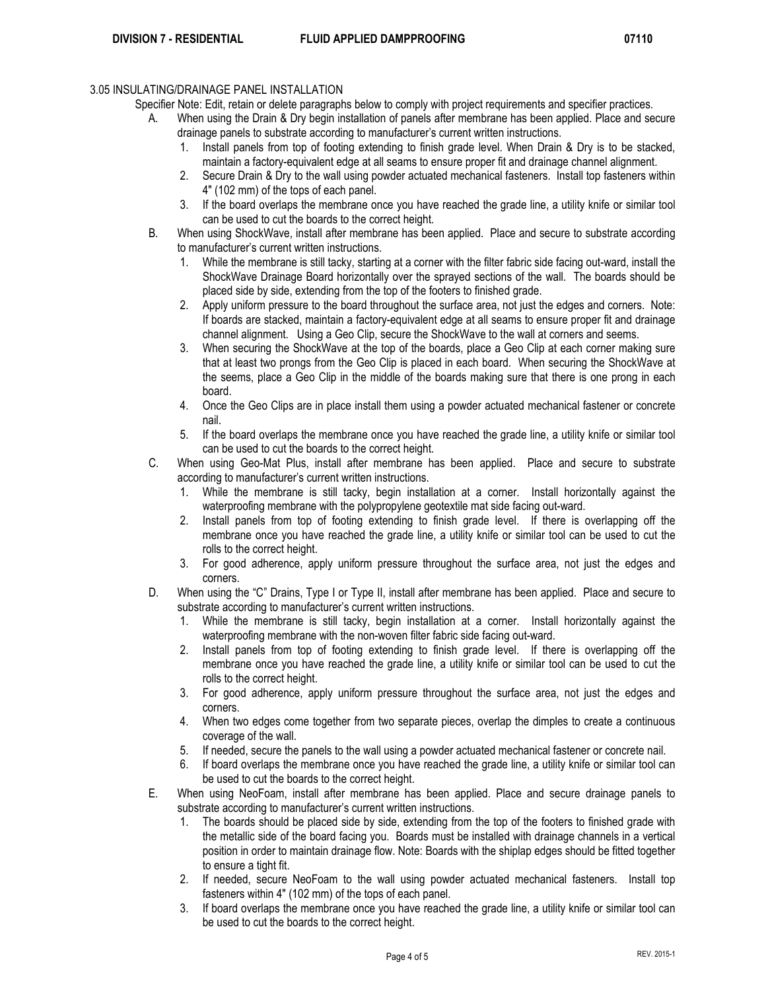# 3.05 INSULATING/DRAINAGE PANEL INSTALLATION

Specifier Note: Edit, retain or delete paragraphs below to comply with project requirements and specifier practices.

- When using the Drain & Dry begin installation of panels after membrane has been applied. Place and secure drainage panels to substrate according to manufacturer's current written instructions.
	- 1. Install panels from top of footing extending to finish grade level. When Drain & Dry is to be stacked, maintain a factory-equivalent edge at all seams to ensure proper fit and drainage channel alignment.
	- 2. Secure Drain & Dry to the wall using powder actuated mechanical fasteners. Install top fasteners within 4" (102 mm) of the tops of each panel.
	- 3. If the board overlaps the membrane once you have reached the grade line, a utility knife or similar tool can be used to cut the boards to the correct height.
- B. When using ShockWave, install after membrane has been applied. Place and secure to substrate according to manufacturer's current written instructions.
	- 1. While the membrane is still tacky, starting at a corner with the filter fabric side facing out-ward, install the ShockWave Drainage Board horizontally over the sprayed sections of the wall. The boards should be placed side by side, extending from the top of the footers to finished grade.
	- 2. Apply uniform pressure to the board throughout the surface area, not just the edges and corners. Note: If boards are stacked, maintain a factory-equivalent edge at all seams to ensure proper fit and drainage channel alignment. Using a Geo Clip, secure the ShockWave to the wall at corners and seems.
	- 3. When securing the ShockWave at the top of the boards, place a Geo Clip at each corner making sure that at least two prongs from the Geo Clip is placed in each board. When securing the ShockWave at the seems, place a Geo Clip in the middle of the boards making sure that there is one prong in each board.
	- 4. Once the Geo Clips are in place install them using a powder actuated mechanical fastener or concrete nail.
	- 5. If the board overlaps the membrane once you have reached the grade line, a utility knife or similar tool can be used to cut the boards to the correct height.
- C. When using Geo-Mat Plus, install after membrane has been applied. Place and secure to substrate according to manufacturer's current written instructions.
	- 1. While the membrane is still tacky, begin installation at a corner. Install horizontally against the waterproofing membrane with the polypropylene geotextile mat side facing out-ward.
	- 2. Install panels from top of footing extending to finish grade level. If there is overlapping off the membrane once you have reached the grade line, a utility knife or similar tool can be used to cut the rolls to the correct height.
	- 3. For good adherence, apply uniform pressure throughout the surface area, not just the edges and corners.
- D. When using the "C" Drains, Type I or Type II, install after membrane has been applied. Place and secure to substrate according to manufacturer's current written instructions.
	- 1. While the membrane is still tacky, begin installation at a corner. Install horizontally against the waterproofing membrane with the non-woven filter fabric side facing out-ward.
	- 2. Install panels from top of footing extending to finish grade level. If there is overlapping off the membrane once you have reached the grade line, a utility knife or similar tool can be used to cut the rolls to the correct height.
	- 3. For good adherence, apply uniform pressure throughout the surface area, not just the edges and corners.
	- 4. When two edges come together from two separate pieces, overlap the dimples to create a continuous coverage of the wall.
	- 5. If needed, secure the panels to the wall using a powder actuated mechanical fastener or concrete nail.
	- 6. If board overlaps the membrane once you have reached the grade line, a utility knife or similar tool can be used to cut the boards to the correct height.
- E. When using NeoFoam, install after membrane has been applied. Place and secure drainage panels to substrate according to manufacturer's current written instructions.
	- 1. The boards should be placed side by side, extending from the top of the footers to finished grade with the metallic side of the board facing you. Boards must be installed with drainage channels in a vertical position in order to maintain drainage flow. Note: Boards with the shiplap edges should be fitted together to ensure a tight fit.
	- 2. If needed, secure NeoFoam to the wall using powder actuated mechanical fasteners. Install top fasteners within 4" (102 mm) of the tops of each panel.
	- 3. If board overlaps the membrane once you have reached the grade line, a utility knife or similar tool can be used to cut the boards to the correct height.